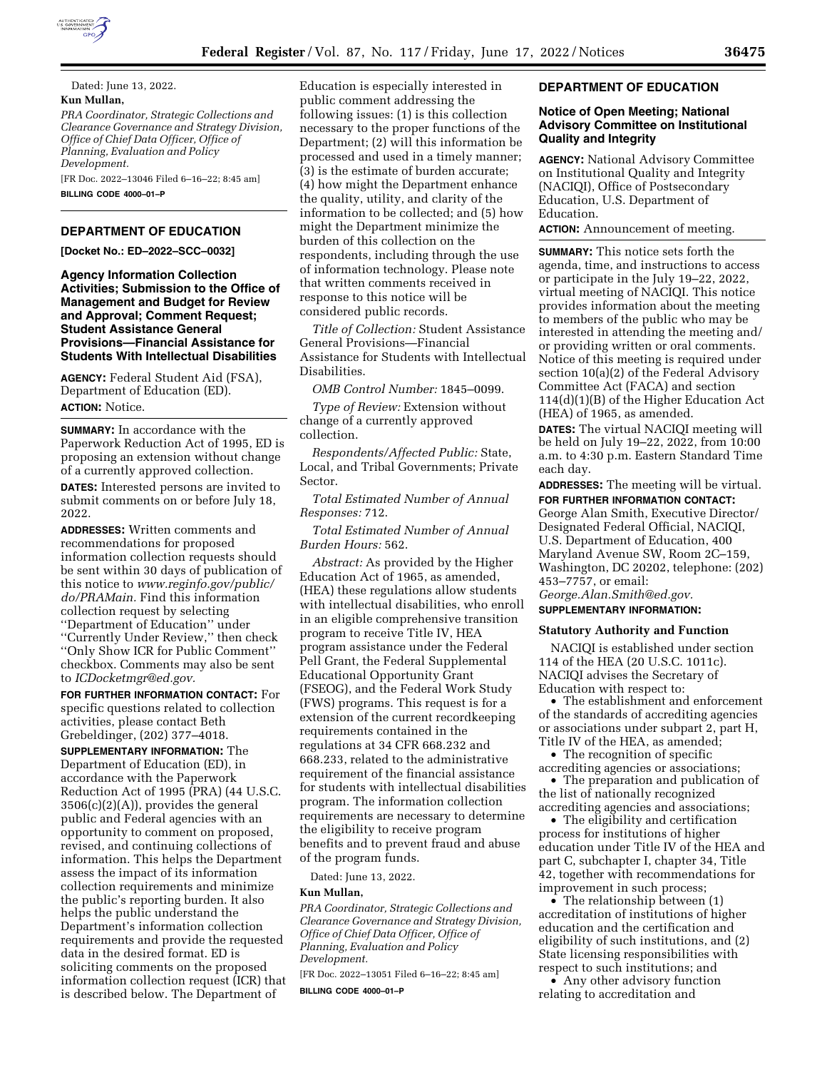

# **DEPARTMENT OF EDUCATION**

**[Docket No.: ED–2022–SCC–0032]** 

**Agency Information Collection Activities; Submission to the Office of Management and Budget for Review and Approval; Comment Request; Student Assistance General Provisions—Financial Assistance for Students With Intellectual Disabilities** 

**AGENCY:** Federal Student Aid (FSA), Department of Education (ED). **ACTION:** Notice.

**SUMMARY:** In accordance with the Paperwork Reduction Act of 1995, ED is proposing an extension without change of a currently approved collection. **DATES:** Interested persons are invited to submit comments on or before July 18, 2022.

**ADDRESSES:** Written comments and recommendations for proposed information collection requests should be sent within 30 days of publication of this notice to *[www.reginfo.gov/public/](http://www.reginfo.gov/public/do/PRAMain) [do/PRAMain.](http://www.reginfo.gov/public/do/PRAMain)* Find this information collection request by selecting ''Department of Education'' under ''Currently Under Review,'' then check ''Only Show ICR for Public Comment'' checkbox. Comments may also be sent to *[ICDocketmgr@ed.gov.](mailto:ICDocketmgr@ed.gov)* 

**FOR FURTHER INFORMATION CONTACT:** For specific questions related to collection activities, please contact Beth Grebeldinger, (202) 377–4018.

**SUPPLEMENTARY INFORMATION:** The Department of Education (ED), in accordance with the Paperwork Reduction Act of 1995 (PRA) (44 U.S.C. 3506(c)(2)(A)), provides the general public and Federal agencies with an opportunity to comment on proposed, revised, and continuing collections of information. This helps the Department assess the impact of its information collection requirements and minimize the public's reporting burden. It also helps the public understand the Department's information collection requirements and provide the requested data in the desired format. ED is soliciting comments on the proposed information collection request (ICR) that is described below. The Department of

Education is especially interested in public comment addressing the following issues: (1) is this collection necessary to the proper functions of the Department; (2) will this information be processed and used in a timely manner; (3) is the estimate of burden accurate; (4) how might the Department enhance the quality, utility, and clarity of the information to be collected; and (5) how might the Department minimize the burden of this collection on the respondents, including through the use of information technology. Please note that written comments received in response to this notice will be considered public records.

*Title of Collection:* Student Assistance General Provisions—Financial Assistance for Students with Intellectual Disabilities.

*OMB Control Number:* 1845–0099.

*Type of Review:* Extension without change of a currently approved collection.

*Respondents/Affected Public:* State, Local, and Tribal Governments; Private Sector.

*Total Estimated Number of Annual Responses:* 712.

*Total Estimated Number of Annual Burden Hours:* 562.

*Abstract:* As provided by the Higher Education Act of 1965, as amended, (HEA) these regulations allow students with intellectual disabilities, who enroll in an eligible comprehensive transition program to receive Title IV, HEA program assistance under the Federal Pell Grant, the Federal Supplemental Educational Opportunity Grant (FSEOG), and the Federal Work Study (FWS) programs. This request is for a extension of the current recordkeeping requirements contained in the regulations at 34 CFR 668.232 and 668.233, related to the administrative requirement of the financial assistance for students with intellectual disabilities program. The information collection requirements are necessary to determine the eligibility to receive program benefits and to prevent fraud and abuse of the program funds.

Dated: June 13, 2022.

# **Kun Mullan,**

*PRA Coordinator, Strategic Collections and Clearance Governance and Strategy Division, Office of Chief Data Officer, Office of Planning, Evaluation and Policy Development.* 

[FR Doc. 2022–13051 Filed 6–16–22; 8:45 am]

**BILLING CODE 4000–01–P** 

#### **DEPARTMENT OF EDUCATION**

### **Notice of Open Meeting; National Advisory Committee on Institutional Quality and Integrity**

**AGENCY:** National Advisory Committee on Institutional Quality and Integrity (NACIQI), Office of Postsecondary Education, U.S. Department of Education.

**ACTION:** Announcement of meeting.

**SUMMARY:** This notice sets forth the agenda, time, and instructions to access or participate in the July 19–22, 2022, virtual meeting of NACIQI. This notice provides information about the meeting to members of the public who may be interested in attending the meeting and/ or providing written or oral comments. Notice of this meeting is required under section 10(a)(2) of the Federal Advisory Committee Act (FACA) and section 114(d)(1)(B) of the Higher Education Act (HEA) of 1965, as amended.

**DATES:** The virtual NACIQI meeting will be held on July 19–22, 2022, from 10:00 a.m. to 4:30 p.m. Eastern Standard Time each day.

**ADDRESSES:** The meeting will be virtual. **FOR FURTHER INFORMATION CONTACT:** 

George Alan Smith, Executive Director/ Designated Federal Official, NACIQI, U.S. Department of Education, 400 Maryland Avenue SW, Room 2C–159, Washington, DC 20202, telephone: (202) 453–7757, or email: *[George.Alan.Smith@ed.gov.](mailto:George.Alan.Smith@ed.gov)* 

**SUPPLEMENTARY INFORMATION:** 

#### **Statutory Authority and Function**

NACIQI is established under section 114 of the HEA (20 U.S.C. 1011c). NACIQI advises the Secretary of Education with respect to:

• The establishment and enforcement of the standards of accrediting agencies or associations under subpart 2, part H, Title IV of the HEA, as amended;

• The recognition of specific accrediting agencies or associations;

• The preparation and publication of the list of nationally recognized accrediting agencies and associations;

• The eligibility and certification process for institutions of higher education under Title IV of the HEA and part C, subchapter I, chapter 34, Title 42, together with recommendations for improvement in such process;

• The relationship between (1) accreditation of institutions of higher education and the certification and eligibility of such institutions, and (2) State licensing responsibilities with respect to such institutions; and

• Any other advisory function relating to accreditation and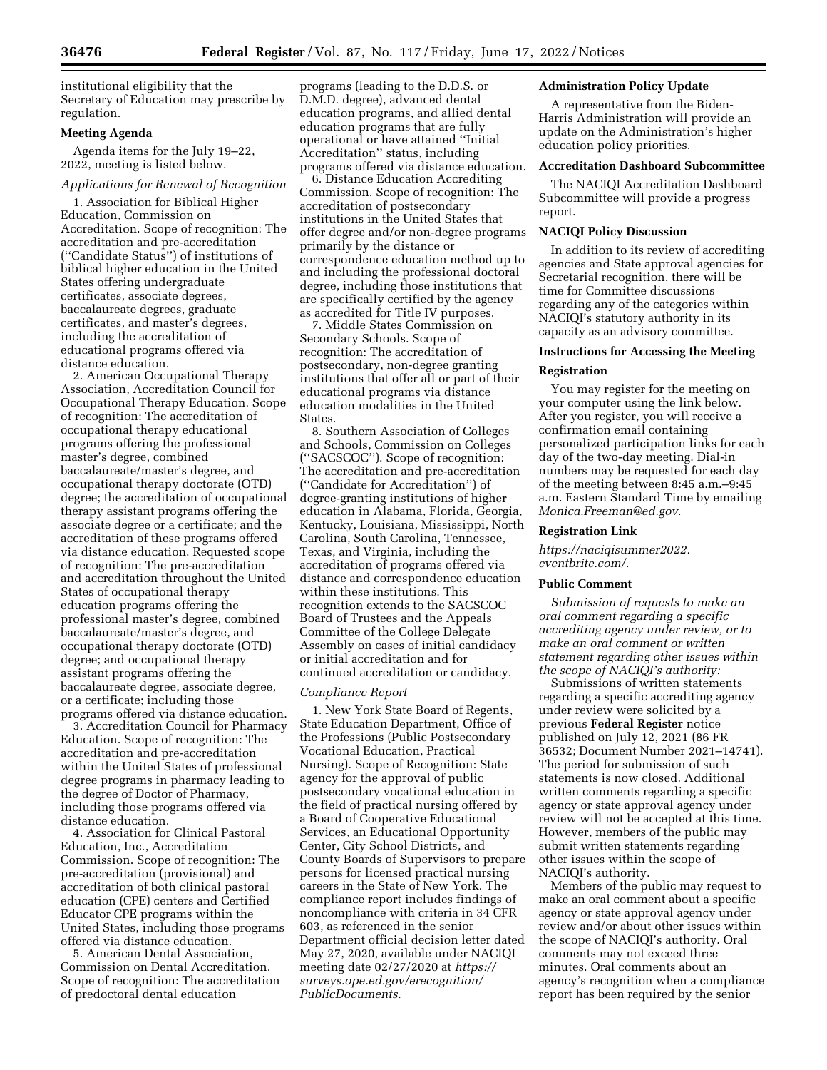institutional eligibility that the Secretary of Education may prescribe by regulation.

#### **Meeting Agenda**

Agenda items for the July 19–22, 2022, meeting is listed below.

# *Applications for Renewal of Recognition*

1. Association for Biblical Higher Education, Commission on Accreditation. Scope of recognition: The accreditation and pre-accreditation (''Candidate Status'') of institutions of biblical higher education in the United States offering undergraduate certificates, associate degrees, baccalaureate degrees, graduate certificates, and master's degrees, including the accreditation of educational programs offered via distance education.

2. American Occupational Therapy Association, Accreditation Council for Occupational Therapy Education. Scope of recognition: The accreditation of occupational therapy educational programs offering the professional master's degree, combined baccalaureate/master's degree, and occupational therapy doctorate (OTD) degree; the accreditation of occupational therapy assistant programs offering the associate degree or a certificate; and the accreditation of these programs offered via distance education. Requested scope of recognition: The pre-accreditation and accreditation throughout the United States of occupational therapy education programs offering the professional master's degree, combined baccalaureate/master's degree, and occupational therapy doctorate (OTD) degree; and occupational therapy assistant programs offering the baccalaureate degree, associate degree, or a certificate; including those programs offered via distance education.

3. Accreditation Council for Pharmacy Education. Scope of recognition: The accreditation and pre-accreditation within the United States of professional degree programs in pharmacy leading to the degree of Doctor of Pharmacy, including those programs offered via distance education.

4. Association for Clinical Pastoral Education, Inc., Accreditation Commission. Scope of recognition: The pre-accreditation (provisional) and accreditation of both clinical pastoral education (CPE) centers and Certified Educator CPE programs within the United States, including those programs offered via distance education.

5. American Dental Association, Commission on Dental Accreditation. Scope of recognition: The accreditation of predoctoral dental education

programs (leading to the D.D.S. or D.M.D. degree), advanced dental education programs, and allied dental education programs that are fully operational or have attained ''Initial Accreditation'' status, including programs offered via distance education.

6. Distance Education Accrediting Commission. Scope of recognition: The accreditation of postsecondary institutions in the United States that offer degree and/or non-degree programs primarily by the distance or correspondence education method up to and including the professional doctoral degree, including those institutions that are specifically certified by the agency as accredited for Title IV purposes.

7. Middle States Commission on Secondary Schools. Scope of recognition: The accreditation of postsecondary, non-degree granting institutions that offer all or part of their educational programs via distance education modalities in the United States.

8. Southern Association of Colleges and Schools, Commission on Colleges (''SACSCOC''). Scope of recognition: The accreditation and pre-accreditation (''Candidate for Accreditation'') of degree-granting institutions of higher education in Alabama, Florida, Georgia, Kentucky, Louisiana, Mississippi, North Carolina, South Carolina, Tennessee, Texas, and Virginia, including the accreditation of programs offered via distance and correspondence education within these institutions. This recognition extends to the SACSCOC Board of Trustees and the Appeals Committee of the College Delegate Assembly on cases of initial candidacy or initial accreditation and for continued accreditation or candidacy.

#### *Compliance Report*

1. New York State Board of Regents, State Education Department, Office of the Professions (Public Postsecondary Vocational Education, Practical Nursing). Scope of Recognition: State agency for the approval of public postsecondary vocational education in the field of practical nursing offered by a Board of Cooperative Educational Services, an Educational Opportunity Center, City School Districts, and County Boards of Supervisors to prepare persons for licensed practical nursing careers in the State of New York. The compliance report includes findings of noncompliance with criteria in 34 CFR 603, as referenced in the senior Department official decision letter dated May 27, 2020, available under NACIQI meeting date 02/27/2020 at *[https://](https://surveys.ope.ed.gov/erecognition/PublicDocuments) [surveys.ope.ed.gov/erecognition/](https://surveys.ope.ed.gov/erecognition/PublicDocuments)  [PublicDocuments.](https://surveys.ope.ed.gov/erecognition/PublicDocuments)* 

# **Administration Policy Update**

A representative from the Biden-Harris Administration will provide an update on the Administration's higher education policy priorities.

#### **Accreditation Dashboard Subcommittee**

The NACIQI Accreditation Dashboard Subcommittee will provide a progress report.

# **NACIQI Policy Discussion**

In addition to its review of accrediting agencies and State approval agencies for Secretarial recognition, there will be time for Committee discussions regarding any of the categories within NACIQI's statutory authority in its capacity as an advisory committee.

### **Instructions for Accessing the Meeting**

#### **Registration**

You may register for the meeting on your computer using the link below. After you register, you will receive a confirmation email containing personalized participation links for each day of the two-day meeting. Dial-in numbers may be requested for each day of the meeting between 8:45 a.m.–9:45 a.m. Eastern Standard Time by emailing *[Monica.Freeman@ed.gov.](mailto:Monica.Freeman@ed.gov)* 

#### **Registration Link**

*[https://naciqisummer2022.](https://naciqisummer2022.eventbrite.com/) [eventbrite.com/.](https://naciqisummer2022.eventbrite.com/)* 

#### **Public Comment**

*Submission of requests to make an oral comment regarding a specific accrediting agency under review, or to make an oral comment or written statement regarding other issues within the scope of NACIQI's authority:* 

Submissions of written statements regarding a specific accrediting agency under review were solicited by a previous **Federal Register** notice published on July 12, 2021 (86 FR 36532; Document Number 2021–14741). The period for submission of such statements is now closed. Additional written comments regarding a specific agency or state approval agency under review will not be accepted at this time. However, members of the public may submit written statements regarding other issues within the scope of NACIQI's authority.

Members of the public may request to make an oral comment about a specific agency or state approval agency under review and/or about other issues within the scope of NACIQI's authority. Oral comments may not exceed three minutes. Oral comments about an agency's recognition when a compliance report has been required by the senior